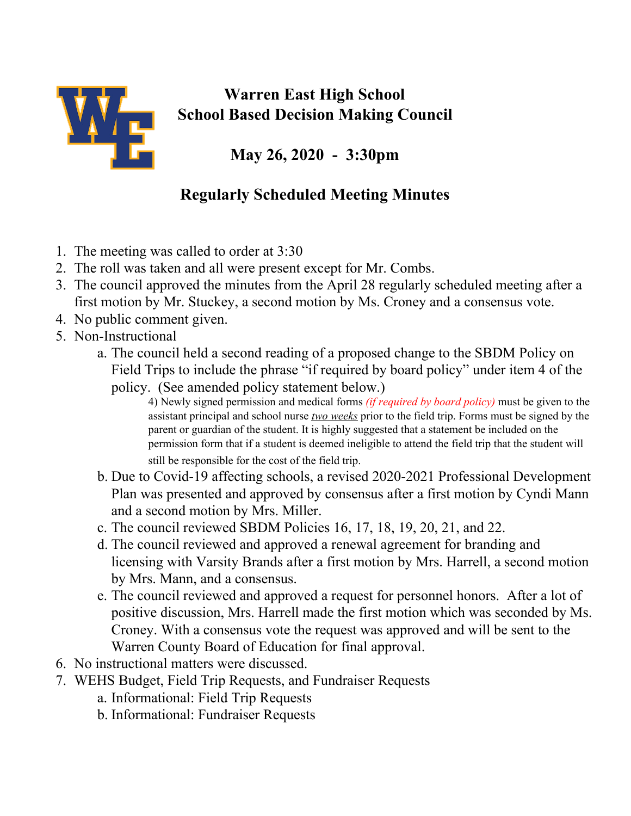

## **Warren East High School School Based Decision Making Council**

**May 26, 2020 - 3:30pm**

## **Regularly Scheduled Meeting Minutes**

- 1. The meeting was called to order at 3:30
- 2. The roll was taken and all were present except for Mr. Combs.
- 3. The council approved the minutes from the April 28 regularly scheduled meeting after a first motion by Mr. Stuckey, a second motion by Ms. Croney and a consensus vote.
- 4. No public comment given.
- 5. Non-Instructional
	- a. The council held a second reading of a proposed change to the SBDM Policy on Field Trips to include the phrase "if required by board policy" under item 4 of the policy. (See amended policy statement below.)
		- 4) Newly signed permission and medical forms *(if required by board policy)* must be given to the assistant principal and school nurse *two weeks* prior to the field trip. Forms must be signed by the parent or guardian of the student. It is highly suggested that a statement be included on the permission form that if a student is deemed ineligible to attend the field trip that the student will still be responsible for the cost of the field trip.
	- b. Due to Covid-19 affecting schools, a revised 2020-2021 Professional Development Plan was presented and approved by consensus after a first motion by Cyndi Mann and a second motion by Mrs. Miller.
	- c. The council reviewed SBDM Policies 16, 17, 18, 19, 20, 21, and 22.
	- d. The council reviewed and approved a renewal agreement for branding and licensing with Varsity Brands after a first motion by Mrs. Harrell, a second motion by Mrs. Mann, and a consensus.
	- e. The council reviewed and approved a request for personnel honors. After a lot of positive discussion, Mrs. Harrell made the first motion which was seconded by Ms. Croney. With a consensus vote the request was approved and will be sent to the Warren County Board of Education for final approval.
- 6. No instructional matters were discussed.
- 7. WEHS Budget, Field Trip Requests, and Fundraiser Requests
	- a. Informational: Field Trip Requests
	- b. Informational: Fundraiser Requests